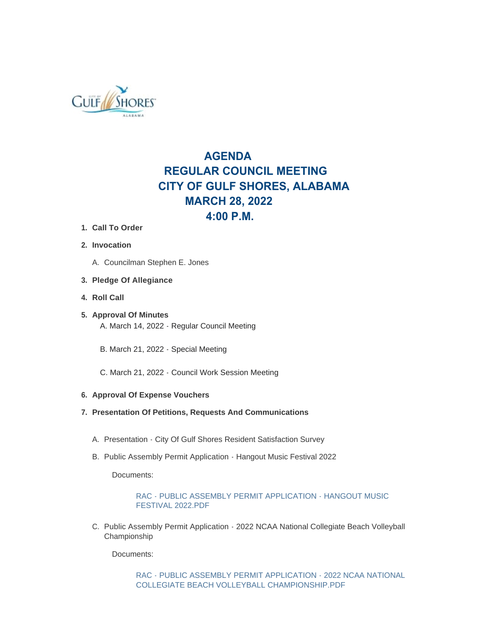

# **AGENDA REGULAR COUNCIL MEETING CITY OF GULF SHORES, ALABAMA MARCH 28, 2022 4:00 P.M.**

- **Call To Order 1.**
- **Invocation 2.**
	- A. Councilman Stephen E. Jones
- **Pledge Of Allegiance 3.**
- **Roll Call 4.**
- **Approval Of Minutes 5.** A. March 14, 2022 - Regular Council Meeting
	- B. March 21, 2022 Special Meeting
	- C. March 21, 2022 Council Work Session Meeting

# **Approval Of Expense Vouchers 6.**

## **Presentation Of Petitions, Requests And Communications 7.**

- A. Presentation City Of Gulf Shores Resident Satisfaction Survey
- B. Public Assembly Permit Application Hangout Music Festival 2022

Documents:

# [RAC - PUBLIC ASSEMBLY PERMIT APPLICATION - HANGOUT MUSIC](https://www.gulfshoresal.gov/AgendaCenter/ViewFile/Item/9892?fileID=21644)  FESTIVAL 2022.PDF

C. Public Assembly Permit Application - 2022 NCAA National Collegiate Beach Volleyball Championship

Documents:

[RAC - PUBLIC ASSEMBLY PERMIT APPLICATION - 2022 NCAA NATIONAL](https://www.gulfshoresal.gov/AgendaCenter/ViewFile/Item/9893?fileID=21645)  COLLEGIATE BEACH VOLLEYBALL CHAMPIONSHIP.PDF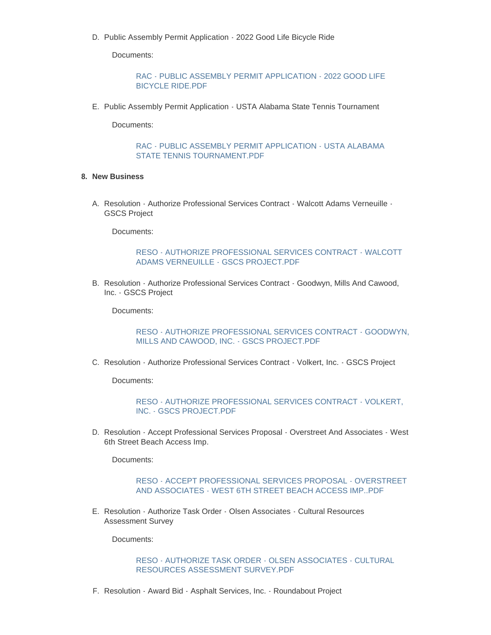D. Public Assembly Permit Application - 2022 Good Life Bicycle Ride

Documents:

[RAC - PUBLIC ASSEMBLY PERMIT APPLICATION - 2022 GOOD LIFE](https://www.gulfshoresal.gov/AgendaCenter/ViewFile/Item/9894?fileID=21646)  BICYCLE RIDE.PDF

E. Public Assembly Permit Application - USTA Alabama State Tennis Tournament

Documents:

[RAC - PUBLIC ASSEMBLY PERMIT APPLICATION - USTA ALABAMA](https://www.gulfshoresal.gov/AgendaCenter/ViewFile/Item/9895?fileID=21647)  STATE TENNIS TOURNAMENT.PDF

#### **New Business 8.**

A. Resolution - Authorize Professional Services Contract - Walcott Adams Verneuille -GSCS Project

Documents:

#### [RESO - AUTHORIZE PROFESSIONAL SERVICES CONTRACT - WALCOTT](https://www.gulfshoresal.gov/AgendaCenter/ViewFile/Item/9903?fileID=21654)  ADAMS VERNEUILLE - GSCS PROJECT.PDF

B. Resolution - Authorize Professional Services Contract - Goodwyn, Mills And Cawood, Inc. - GSCS Project

Documents:

[RESO - AUTHORIZE PROFESSIONAL SERVICES CONTRACT - GOODWYN,](https://www.gulfshoresal.gov/AgendaCenter/ViewFile/Item/9901?fileID=21652)  MILLS AND CAWOOD, INC. - GSCS PROJECT.PDF

C. Resolution - Authorize Professional Services Contract - Volkert, Inc. - GSCS Project

Documents:

[RESO - AUTHORIZE PROFESSIONAL SERVICES CONTRACT - VOLKERT,](https://www.gulfshoresal.gov/AgendaCenter/ViewFile/Item/9902?fileID=21653)  INC. - GSCS PROJECT.PDF

D. Resolution - Accept Professional Services Proposal - Overstreet And Associates - West 6th Street Beach Access Imp.

Documents:

# [RESO - ACCEPT PROFESSIONAL SERVICES PROPOSAL - OVERSTREET](https://www.gulfshoresal.gov/AgendaCenter/ViewFile/Item/9897?fileID=21648)  AND ASSOCIATES - WEST 6TH STREET BEACH ACCESS IMP..PDF

E. Resolution - Authorize Task Order - Olsen Associates - Cultural Resources Assessment Survey

Documents:

[RESO - AUTHORIZE TASK ORDER - OLSEN ASSOCIATES - CULTURAL](https://www.gulfshoresal.gov/AgendaCenter/ViewFile/Item/9904?fileID=21655)  RESOURCES ASSESSMENT SURVEY.PDF

Resolution - Award Bid - Asphalt Services, Inc. - Roundabout Project F.